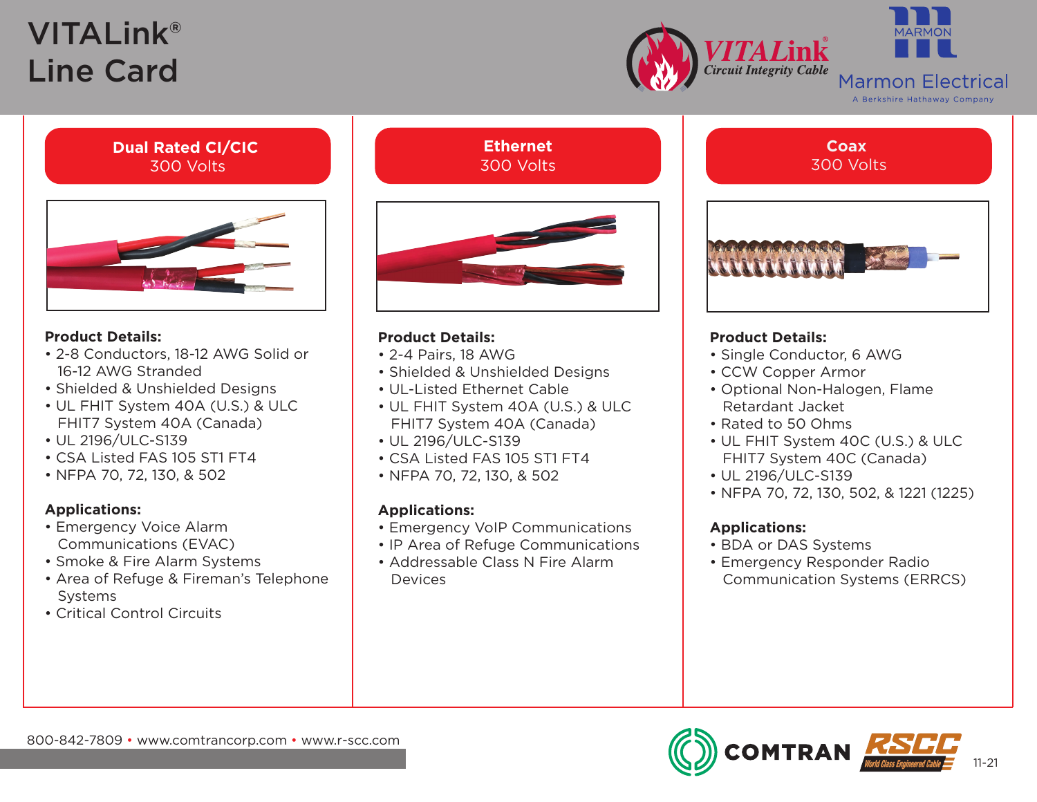# VITALink® Line Card





## **Dual Rated CI/CIC** 300 Volts



## **Product Details:**

- 2-8 Conductors, 18-12 AWG Solid or 16-12 AWG Stranded
- Shielded & Unshielded Designs
- UL FHIT System 40A (U.S.) & ULC FHIT7 System 40A (Canada)
- UL 2196/ULC-S139
- CSA Listed FAS 105 ST1 FT4
- NFPA 70, 72, 130, & 502

## **Applications:**

- Emergency Voice Alarm Communications (EVAC)
- Smoke & Fire Alarm Systems
- Area of Refuge & Fireman's Telephone Systems
- Critical Control Circuits

## **Ethernet** 300 Volts



## **Product Details:**

- 2-4 Pairs, 18 AWG
- Shielded & Unshielded Designs
- UL-Listed Ethernet Cable
- UL FHIT System 40A (U.S.) & ULC FHIT7 System 40A (Canada)
- UL 2196/ULC-S139
- CSA Listed FAS 105 ST1 FT4
- NFPA 70, 72, 130, & 502

## **Applications:**

- Emergency VoIP Communications
- IP Area of Refuge Communications
- Addressable Class N Fire Alarm **Devices**

**Coax** 300 Volts

## **Product Details:**

- Single Conductor, 6 AWG
- CCW Copper Armor
- Optional Non-Halogen, Flame Retardant Jacket
- Rated to 50 Ohms
- UL FHIT System 40C (U.S.) & ULC FHIT7 System 40C (Canada)
- UL 2196/ULC-S139
- NFPA 70, 72, 130, 502, & 1221 (1225)

## **Applications:**

- BDA or DAS Systems
- Emergency Responder Radio Communication Systems (ERRCS)